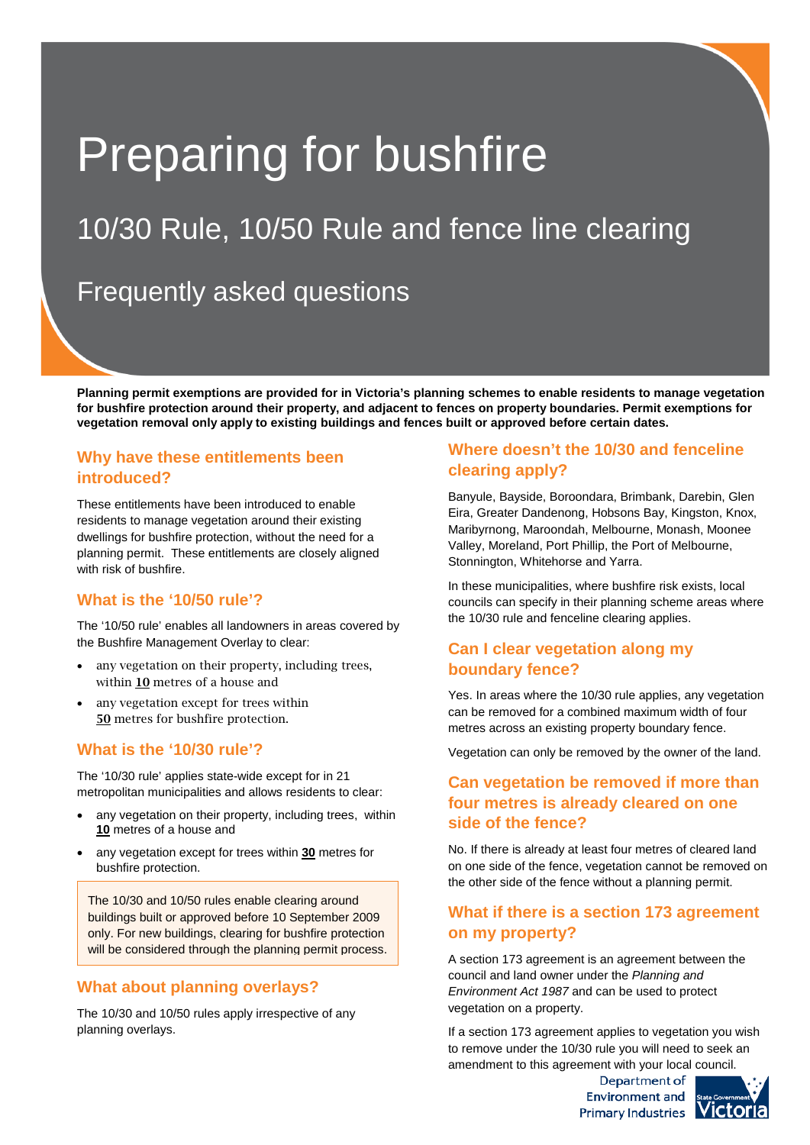# Preparing for bushfire

# 10/30 Rule, 10/50 Rule and fence line clearing

## Frequently asked questions

**Planning permit exemptions are provided for in Victoria's planning schemes to enable residents to manage vegetation for bushfire protection around their property, and adjacent to fences on property boundaries. Permit exemptions for vegetation removal only apply to existing buildings and fences built or approved before certain dates.**

#### **Why have these entitlements been introduced?**

These entitlements have been introduced to enable residents to manage vegetation around their existing dwellings for bushfire protection, without the need for a planning permit. These entitlements are closely aligned with risk of bushfire.

#### **What is the '10/50 rule'?**

The '10/50 rule' enables all landowners in areas covered by the Bushfire Management Overlay to clear:

- any vegetation on their property, including trees, within 10 metres of a house and
- any vegetation except for trees within 50 metres for bushfire protection.

#### **What is the '10/30 rule'?**

The '10/30 rule' applies state-wide except for in 21 metropolitan municipalities and allows residents to clear:

- any vegetation on their property, including trees, within **10** metres of a house and
- any vegetation except for trees within **30** metres for bushfire protection.

The 10/30 and 10/50 rules enable clearing around buildings built or approved before 10 September 2009 only. For new buildings, clearing for bushfire protection will be considered through the planning permit process.

#### **What about planning overlays?**

The 10/30 and 10/50 rules apply irrespective of any planning overlays.

#### **Where doesn't the 10/30 and fenceline clearing apply?**

Banyule, Bayside, Boroondara, Brimbank, Darebin, Glen Eira, Greater Dandenong, Hobsons Bay, Kingston, Knox, Maribyrnong, Maroondah, Melbourne, Monash, Moonee Valley, Moreland, Port Phillip, the Port of Melbourne, Stonnington, Whitehorse and Yarra.

In these municipalities, where bushfire risk exists, local councils can specify in their planning scheme areas where the 10/30 rule and fenceline clearing applies.

#### **Can I clear vegetation along my boundary fence?**

Yes. In areas where the 10/30 rule applies, any vegetation can be removed for a combined maximum width of four metres across an existing property boundary fence.

Vegetation can only be removed by the owner of the land.

## **Can vegetation be removed if more than four metres is already cleared on one side of the fence?**

No. If there is already at least four metres of cleared land on one side of the fence, vegetation cannot be removed on the other side of the fence without a planning permit.

## **What if there is a section 173 agreement on my property?**

A section 173 agreement is an agreement between the council and land owner under the *Planning and Environment Act 1987* and can be used to protect vegetation on a property.

If a section 173 agreement applies to vegetation you wish to remove under the 10/30 rule you will need to seek an amendment to this agreement with your local council.

> Department of Environment and Primary Industries VICto

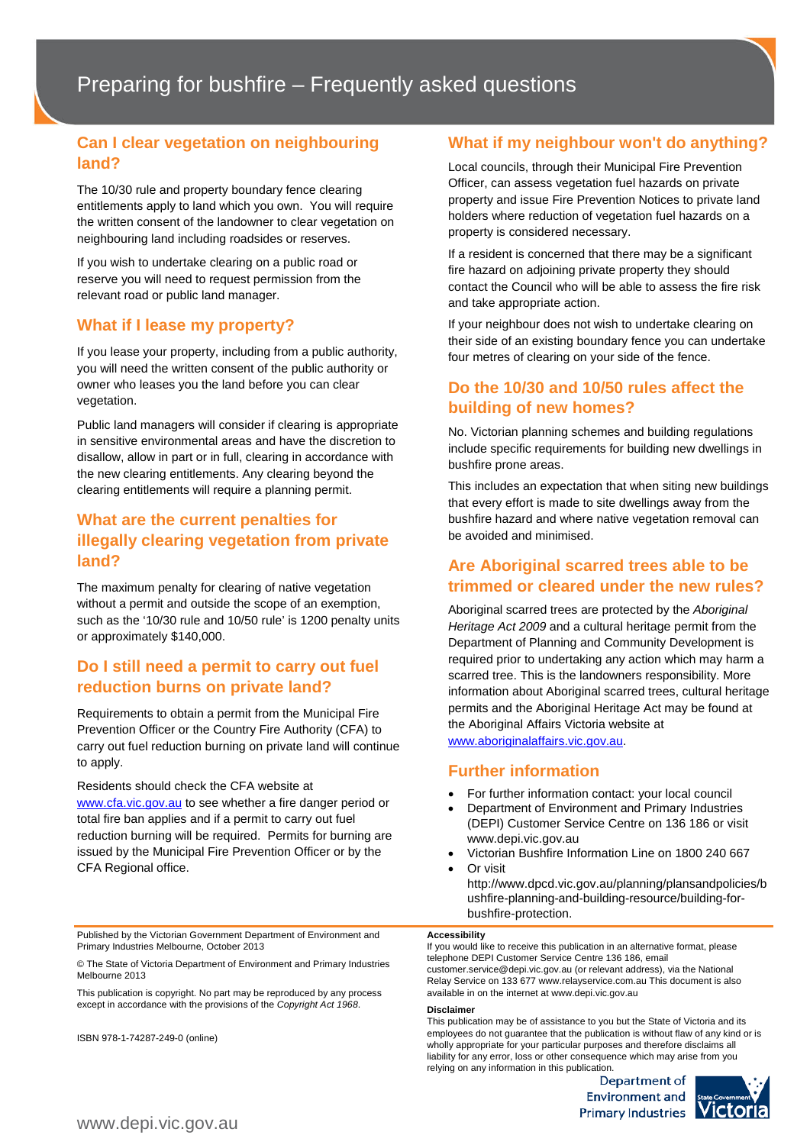#### **Can I clear vegetation on neighbouring land?**

The 10/30 rule and property boundary fence clearing entitlements apply to land which you own. You will require the written consent of the landowner to clear vegetation on neighbouring land including roadsides or reserves.

If you wish to undertake clearing on a public road or reserve you will need to request permission from the relevant road or public land manager.

#### **What if I lease my property?**

If you lease your property, including from a public authority, you will need the written consent of the public authority or owner who leases you the land before you can clear vegetation.

Public land managers will consider if clearing is appropriate in sensitive environmental areas and have the discretion to disallow, allow in part or in full, clearing in accordance with the new clearing entitlements. Any clearing beyond the clearing entitlements will require a planning permit.

#### **What are the current penalties for illegally clearing vegetation from private land?**

The maximum penalty for clearing of native vegetation without a permit and outside the scope of an exemption, such as the '10/30 rule and 10/50 rule' is 1200 penalty units or approximately \$140,000.

#### **Do I still need a permit to carry out fuel reduction burns on private land?**

Requirements to obtain a permit from the Municipal Fire Prevention Officer or the Country Fire Authority (CFA) to carry out fuel reduction burning on private land will continue to apply.

Residents should check the CFA website at www.cfa.vic.gov.au to see whether a fire danger period or total fire ban applies and if a permit to carry out fuel reduction burning will be required. Permits for burning are issued by the Municipal Fire Prevention Officer or by the CFA Regional office.

Published by the Victorian Government Department of Environment and Primary Industries Melbourne, October 2013

© The State of Victoria Department of Environment and Primary Industries Melbourne 2013

This publication is copyright. No part may be reproduced by any process except in accordance with the provisions of the *Copyright Act 1968*.

ISBN 978-1-74287-249-0 (online)

#### **What if my neighbour won't do anything?**

Local councils, through their Municipal Fire Prevention Officer, can assess vegetation fuel hazards on private property and issue Fire Prevention Notices to private land holders where reduction of vegetation fuel hazards on a property is considered necessary.

If a resident is concerned that there may be a significant fire hazard on adjoining private property they should contact the Council who will be able to assess the fire risk and take appropriate action.

If your neighbour does not wish to undertake clearing on their side of an existing boundary fence you can undertake four metres of clearing on your side of the fence.

#### **Do the 10/30 and 10/50 rules affect the building of new homes?**

No. Victorian planning schemes and building regulations include specific requirements for building new dwellings in bushfire prone areas.

This includes an expectation that when siting new buildings that every effort is made to site dwellings away from the bushfire hazard and where native vegetation removal can be avoided and minimised.

#### **Are Aboriginal scarred trees able to be trimmed or cleared under the new rules?**

Aboriginal scarred trees are protected by the *Aboriginal Heritage Act 2009* and a cultural heritage permit from the Department of Planning and Community Development is required prior to undertaking any action which may harm a scarred tree. This is the landowners responsibility. More information about Aboriginal scarred trees, cultural heritage permits and the Aboriginal Heritage Act may be found at the Aboriginal Affairs Victoria website at [www.aboriginalaffairs.vic.gov.au.](http://www.aboriginalaffairs.vic.gov.au/)

#### **Further information**

- For further information contact: your local council
- Department of Environment and Primary Industries (DEPI) Customer Service Centre on 136 186 or visit www.depi.vic.gov.au
- Victorian Bushfire Information Line on 1800 240 667 • Or visit
- http://www.dpcd.vic.gov.au/planning/plansandpolicies/b ushfire-planning-and-building-resource/building-forbushfire-protection.

#### **Accessibility**

If you would like to receive this publication in an alternative format, please telephone DEPI Customer Service Centre 136 186, email customer.service@depi.vic.gov.au (or relevant address), via the National Relay Service on 133 677 www.relayservice.com.au This document is also available in on the internet at www.depi.vic.gov.au

#### **Disclaimer**

This publication may be of assistance to you but the State of Victoria and its employees do not guarantee that the publication is without flaw of any kind or is wholly appropriate for your particular purposes and therefore disclaims all liability for any error, loss or other consequence which may arise from you relying on any information in this publication.

> Department of **Environment and** Primary Industries **VI**